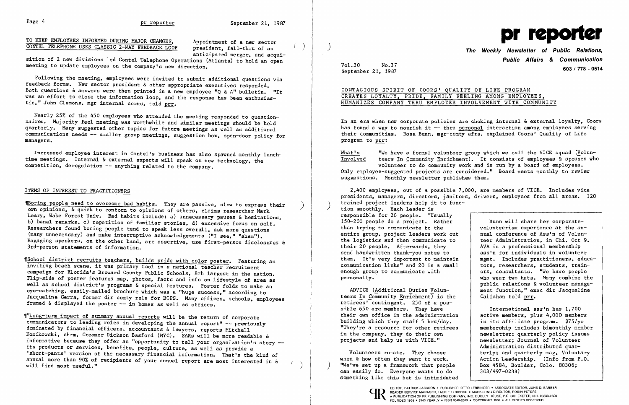TO KEEP EMPLOYEES INFORMED DURING MAJOR CHANGES, Appointment of a new sector CONTEL TELEPHONE USES CLASSIC 2-WAY FEEDBACK LOOP president, fall-thru of an

Following the meeting, employees were invited to submit additional questions via feedback forms. New sector president & other appropriate executives responded. Both questions & answers were then printed in a new employee "Q & A" bulletin. "It was an effort to close the information loop, and the response has been enthusiastic," John Clemons, mgr internal comns, told prr.

anticipated merger, and acqui

 sition of 2 new divisions led Contel Telephone Operations (Atlanta) to hold an open meeting to update employees on the company's new direction.

Increased employee interest in Conte1's business has also spawned monthly lunchtime meetings. Internal & external experts will speak on new technology, the competition, deregulation -- anything related to the company.

Nearly 25% of the 450 employees who attended the meeting responded to questionnaires. Majority feel meeting was worthwhile and similar meetings should be held quarterly. Many suggested other topics for future meetings as well as additional communications needs -- smaller group meetings, suggestion box, open-door policy for managers.

'H Boring people need to overcome bad habits. They are passive, slow to express their own opinions, & quick to conform to opinions of others, claims researcher Mark Leary, Wake Forest Univ. Bad habits include: a) unnecessary pauses & hesitations, b) banal remarks, c) repetition of familiar stories, d) excessive focus on self. Researchers found boring people tend to speak less overall, ask more questions (many unnecessary) and make interruptive acknowledgements ("I see," "ahem"). Engaging speakers, on the other hand, are assertive, use first-person disclosures & 3rd-person statements of information.

*School district recruits teachers, builds pride with color poster.* Featuring an inviting beach scene, it was primary tool in a national teacher recruitment campaign for Florida's Broward County Public Schools. 8th largest in the nation. Flip-side of poster features map, photos, facts and info on lifestyle of area as well as school district's programs & special features. Poster folds to make an eye-catching, easily-mailed brochure which was a "huge success," according to Jacqueline Cerra, former dir comty re1s for BCPS. Many offices, schools, employees framed & displayed the poster -- in homes as well as offices.

#### ITEMS OF INTEREST TO PRACTITIONERS

In an era when new corporate policies are choking internal & external loyalty, Coors has found a way to nourish it -- thru personal interaction among employees serving their communities. Rosa Bunn, mgr-comty afrs, explained Coors' Quality of Life program to prr:

 $\frac{\text{What's}}{\text{Involved}}$  "We have a formal volunteer group which we call the VICE squad (Volun-<br>Involved teers In Community Enrichment). It consists of employees & spouses who teers In Community Enrichment). It consists of employees & spouses who volunteer to do community work and is run by a board of employees. Only employee-suggested projects are considered." Board meets monthly to review suggestions. Monthly newsletter publishes them.

2,400 employees, out of a possible 7,000, are members of VICE. Includes vice presidents, managers, directors, janitors, drivers, employees from all areas. 120 trained project leaders help it to func-<br>tion smoothly. Each leader is responsible for 20 people. "Usually 150-200 people do a project. Rather Bunn will share her corporate-<br>volunteerism experience at the anthan trying to communicate to the  $\vert$  volunteerism experience at the an-<br>entire group, project leaders work out  $\vert$  nual conference of Ass'n of Volunentire group, project leaders work out | nual conference of Ass'n of Volun-<br>the logistics and then communicate to | teer Administration, in Chi, Oct 9. the logistics and then communicate to their 20 people. Afterwards, they a a professional membership<br>send handwritten thank-you notes to ass'n for individuals in volunteer send handwritten thank-you notes to  $\begin{array}{|l|} \n\hline\n\end{array}$  ass'n for individuals in volunteer<br>them. It's very important to maintain memt. Includes practitioners, educathem. It's very important to maintain mgmt. Includes practitioners, educa-<br>communication links" and 20 is a small tors, researchers, students, traincommunication links" and 20 is a small<br>enough group to communicate with ors, consultants. "We have people pe rsonally. who wear two hats. Many combine the public relations & volunteer manage-ADVICE (Additional Duties Volun- | ment function," exec dir Jacqueline teers In Community  $\overline{\text{Enrichment}}$  is the Callahan told prr.

retirees' contingent. 250 of a pos sible 650 are members. They have their own office in the administration<br>building which they staff 5 hrs/day. building which they staff 5 hrs/day. in its affiliate program. \$75/yr<br>"They're a resource for other retirees emembership includes bimonthly memb "They're a resource for other retirees | membership includes bimonthly member<br>in the company, they do their own<br>mewsletter; quarterly policy issues projects and help us with VICE."

'1''Long-term impact of summary annual reports will be the return of corporate communicators to leading roles in developing the annual report" -- previously dominated by financial officers, accountants & lawyers, reports Mitchell Kozikowski, chrm, Creamer Dickson Basford (NYC). SARs will be more readable & informative because they offer an "opportunity to tell your organization's story -its products or services, benefits, people, culture, as well as provide a 'short-pants' version of the necessary financial information. That's the kind of annual more than 90% of recipients of your annual report are most interested in & will find most useful." )

Volunteers rotate. They choose terly; and quarterly mag, Voluntary<br>when & how often they want to work. Action Leadership. (Info from P.O. "We've set up a framework that people can easily do. Everyone wants to do something like this but is intimidated





Vo1.30 No.37

# **Public Affairs & Communication <sup>603</sup>**/178 - **<sup>0514</sup>** September 21, 1987

International ass'n has 1,700<br>active members, plus 4,000 members newsletter; quarterly policy issues<br>newsletter; Journal of Volunteer Administration distributed quar-Action Leadership. (Info from P.O.<br>Box 4584, Boulder, Colo. 80306;  $303/497 - 0238$ 

### CONTAGIOUS SPIRIT OF COORS' QUALITY OF LIFE PROGRAM CREATES LOYALTY, PRIDE, FAMILY FEELING AMONG EMPLOYEES, HUMANIZES COMPANY THRU EMPLOYEE INVOLVEMENT WITH COMMUNITY